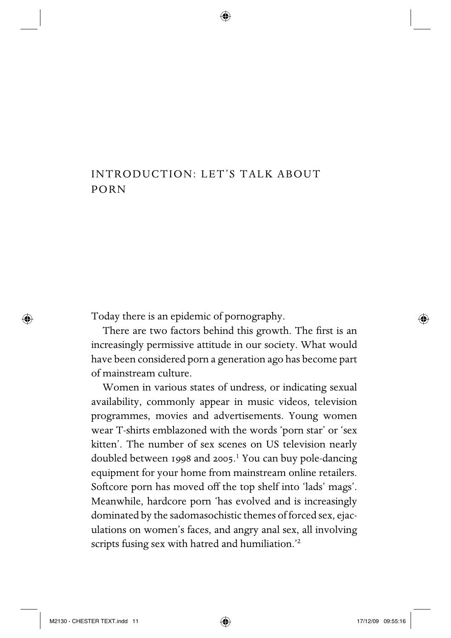## INTRODUCTION: LET'S TALK ABOUT PORN

Today there is an epidemic of pornography.

There are two factors behind this growth. The first is an increasingly permissive attitude in our society. What would have been considered porn a generation ago has become part of mainstream culture.

Women in various states of undress, or indicating sexual availability, commonly appear in music videos, television programmes, movies and advertisements. Young women wear T-shirts emblazoned with the words 'porn star' or 'sex kitten'. The number of sex scenes on US television nearly doubled between 1998 and 2005.<sup>1</sup> You can buy pole-dancing equipment for your home from mainstream online retailers. Softcore porn has moved off the top shelf into 'lads' mags'. Meanwhile, hardcore porn 'has evolved and is increasingly dominated by the sadomasochistic themes of forced sex, ejaculations on women's faces, and angry anal sex, all involving scripts fusing sex with hatred and humiliation.<sup>'2</sup>

⊕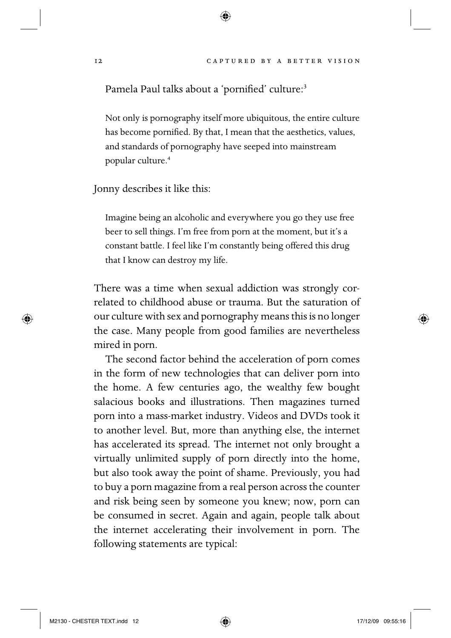Pamela Paul talks about a 'pornified' culture:<sup>3</sup>

Not only is pornography itself more ubiquitous, the entire culture has become pornified. By that, I mean that the aesthetics, values, and standards of pornography have seeped into mainstream popular culture.4

Jonny describes it like this:

Imagine being an alcoholic and everywhere you go they use free beer to sell things. I'm free from porn at the moment, but it's a constant battle. I feel like I'm constantly being offered this drug that I know can destroy my life.

There was a time when sexual addiction was strongly correlated to childhood abuse or trauma. But the saturation of our culture with sex and pornography means this is no longer the case. Many people from good families are nevertheless mired in porn.

The second factor behind the acceleration of porn comes in the form of new technologies that can deliver porn into the home. A few centuries ago, the wealthy few bought salacious books and illustrations. Then magazines turned porn into a mass-market industry. Videos and DVDs took it to another level. But, more than anything else, the internet has accelerated its spread. The internet not only brought a virtually unlimited supply of porn directly into the home, but also took away the point of shame. Previously, you had to buy a porn magazine from a real person across the counter and risk being seen by someone you knew; now, porn can be consumed in secret. Again and again, people talk about the internet accelerating their involvement in porn. The following statements are typical:

◈

◈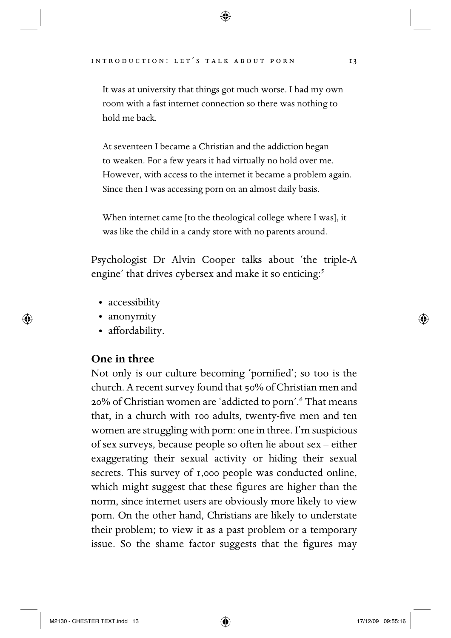It was at university that things got much worse. I had my own room with a fast internet connection so there was nothing to hold me back.

At seventeen I became a Christian and the addiction began to weaken. For a few years it had virtually no hold over me. However, with access to the internet it became a problem again. Since then I was accessing porn on an almost daily basis.

When internet came [to the theological college where I was], it was like the child in a candy store with no parents around.

Psychologist Dr Alvin Cooper talks about the triple-A engine' that drives cybersex and make it so enticing:<sup>5</sup>

- accessibility
- anonymity

◈

• affordability.

**One in three**

Not only is our culture becoming 'pornified'; so too is the church. A recent survey found that 50% of Christian men and 20% of Christian women are 'addicted to porn'.6 That means that, in a church with 100 adults, twenty-five men and ten women are struggling with porn: one in three. I'm suspicious of sex surveys, because people so often lie about sex – either exaggerating their sexual activity or hiding their sexual secrets. This survey of 1,000 people was conducted online, which might suggest that these figures are higher than the norm, since internet users are obviously more likely to view porn. On the other hand, Christians are likely to understate their problem; to view it as a past problem or a temporary issue. So the shame factor suggests that the figures may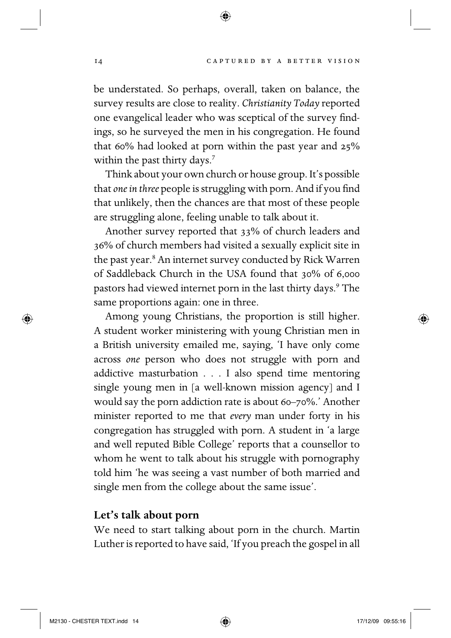be understated. So perhaps, overall, taken on balance, the survey results are close to reality. *Christianity Today* reported one evangelical leader who was sceptical of the survey findings, so he surveyed the men in his congregation. He found that 60% had looked at porn within the past year and 25% within the past thirty days.<sup>7</sup>

⊕

Think about your own church or house group. It's possible that *one* in three people is struggling with porn. And if you find that unlikely, then the chances are that most of these people are struggling alone, feeling unable to talk about it.

Another survey reported that 33% of church leaders and 36% of church members had visited a sexually explicit site in the past year.<sup>8</sup> An internet survey conducted by Rick Warren of Saddleback Church in the USA found that 30% of 6,000 pastors had viewed internet porn in the last thirty days.<sup>9</sup> The same proportions again: one in three.

Among young Christians, the proportion is still higher. A student worker ministering with young Christian men in a British university emailed me, saying, 'I have only come across *one* person who does not struggle with porn and addictive masturbation . . . I also spend time mentoring single young men in [a well-known mission agency] and I would say the porn addiction rate is about 60–70%.' Another minister reported to me that *every* man under forty in his congregation has struggled with porn. A student in 'a large and well reputed Bible College' reports that a counsellor to whom he went to talk about his struggle with pornography told him 'he was seeing a vast number of both married and single men from the college about the same issue'.

## **Let's talk about porn**

We need to start talking about porn in the church. Martin Luther is reported to have said, 'If you preach the gospel in all

M2130 - CHESTER TEXT.indd 14  $\bigoplus$ 

⊕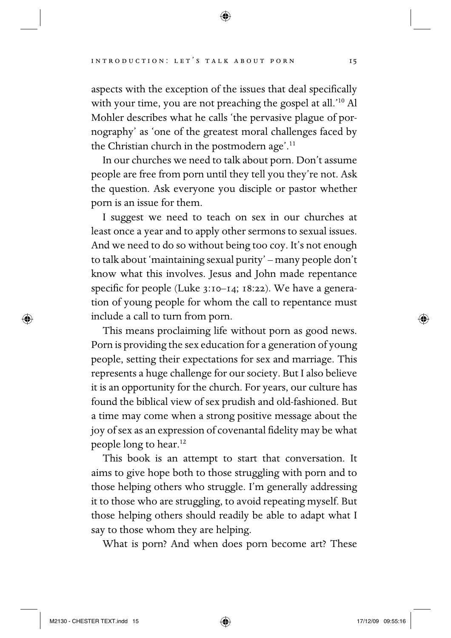aspects with the exception of the issues that deal specifically with your time, you are not preaching the gospel at all.<sup>'10</sup> Al Mohler describes what he calls 'the pervasive plague of pornography' as 'one of the greatest moral challenges faced by the Christian church in the postmodern age'.<sup>11</sup>

In our churches we need to talk about porn. Don't assume people are free from porn until they tell you they're not. Ask the question. Ask everyone you disciple or pastor whether porn is an issue for them.

I suggest we need to teach on sex in our churches at least once a year and to apply other sermons to sexual issues. And we need to do so without being too coy. It's not enough to talk about 'maintaining sexual purity' – many people don't know what this involves. Jesus and John made repentance specific for people (Luke  $3:10-14$ ; 18:22). We have a generation of young people for whom the call to repentance must include a call to turn from porn.

This means proclaiming life without porn as good news. Porn is providing the sex education for a generation of young people, setting their expectations for sex and marriage. This represents a huge challenge for our society. But I also believe it is an opportunity for the church. For years, our culture has found the biblical view of sex prudish and old-fashioned. But a time may come when a strong positive message about the joy of sex as an expression of covenantal fidelity may be what people long to hear.<sup>12</sup>

This book is an attempt to start that conversation. It aims to give hope both to those struggling with porn and to those helping others who struggle. I'm generally addressing it to those who are struggling, to avoid repeating myself. But those helping others should readily be able to adapt what I say to those whom they are helping.

What is porn? And when does porn become art? These

⊕

◈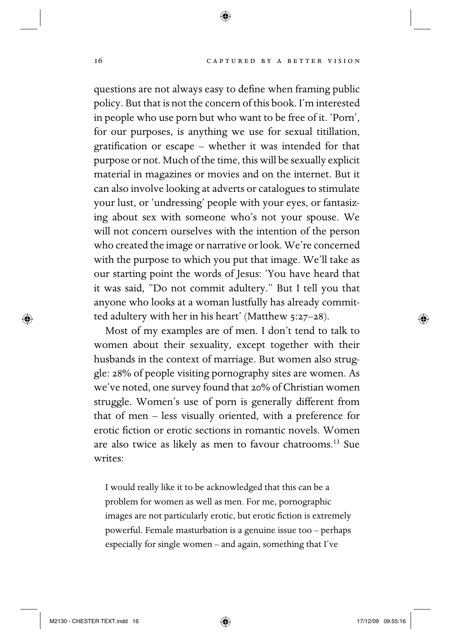questions are not always easy to define when framing public policy. But that is not the concern of this book. I'm interested in people who use porn but who want to be free of it. 'Porn', for our purposes, is anything we use for sexual titillation, gratification or escape – whether it was intended for that purpose or not. Much of the time, this will be sexually explicit material in magazines or movies and on the internet. But it can also involve looking at adverts or catalogues to stimulate your lust, or 'undressing' people with your eyes, or fantasizing about sex with someone who's not your spouse. We will not concern ourselves with the intention of the person who created the image or narrative or look. We're concerned with the purpose to which you put that image. We'll take as our starting point the words of Jesus: 'You have heard that it was said, "Do not commit adultery." But I tell you that anyone who looks at a woman lustfully has already committed adultery with her in his heart' (Matthew 5:27–28).

⊕

Most of my examples are of men. I don't tend to talk to women about their sexuality, except together with their husbands in the context of marriage. But women also struggle: 28% of people visiting pornography sites are women. As we've noted, one survey found that 20% of Christian women struggle. Women's use of porn is generally different from that of men – less visually oriented, with a preference for erotic fiction or erotic sections in romantic novels. Women are also twice as likely as men to favour chatrooms.13 Sue writes:

I would really like it to be acknowledged that this can be a problem for women as well as men. For me, pornographic images are not particularly erotic, but erotic fiction is extremely powerful. Female masturbation is a genuine issue too – perhaps especially for single women – and again, something that I've

⊕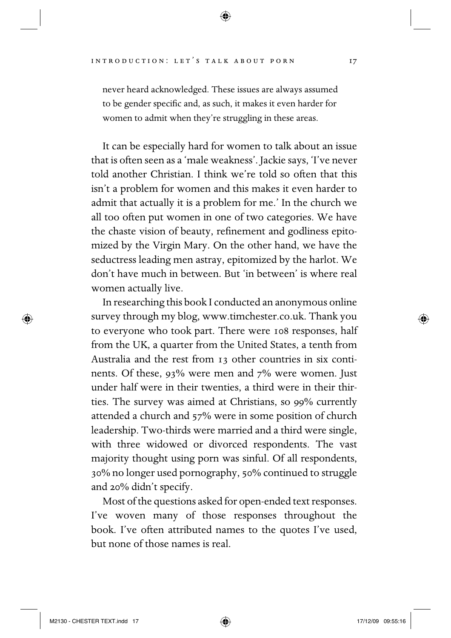never heard acknowledged. These issues are always assumed to be gender specific and, as such, it makes it even harder for women to admit when they're struggling in these areas.

It can be especially hard for women to talk about an issue that is often seen as a 'male weakness'. Jackie says, 'I've never told another Christian. I think we're told so often that this isn't a problem for women and this makes it even harder to admit that actually it is a problem for me.' In the church we all too often put women in one of two categories. We have the chaste vision of beauty, refinement and godliness epitomized by the Virgin Mary. On the other hand, we have the seductress leading men astray, epitomized by the harlot. We don't have much in between. But 'in between' is where real women actually live.

In researching this book I conducted an anonymous online survey through my blog, www.timchester.co.uk. Thank you to everyone who took part. There were 108 responses, half from the UK, a quarter from the United States, a tenth from Australia and the rest from 13 other countries in six continents. Of these, 93% were men and 7% were women. Just under half were in their twenties, a third were in their thirties. The survey was aimed at Christians, so 99% currently attended a church and 57% were in some position of church leadership. Two- thirds were married and a third were single, with three widowed or divorced respondents. The vast majority thought using porn was sinful. Of all respondents, 30% no longer used pornography, 50% continued to struggle and 20% didn't specify.

Most of the questions asked for open-ended text responses. I've woven many of those responses throughout the book. I've often attributed names to the quotes I've used, but none of those names is real.

⊕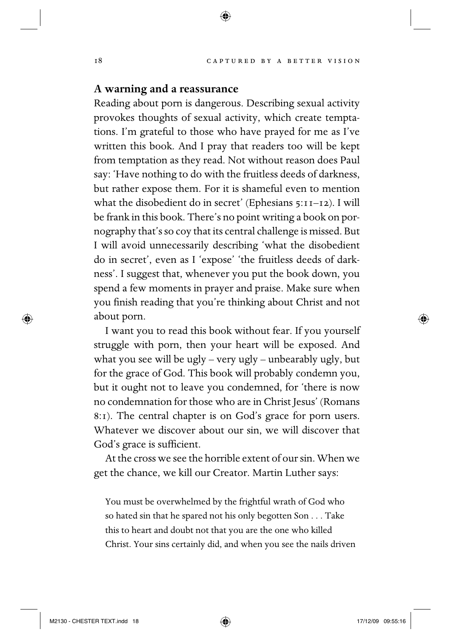## **A warning and a reassurance**

Reading about porn is dangerous. Describing sexual activity provokes thoughts of sexual activity, which create temptations. I'm grateful to those who have prayed for me as I've written this book. And I pray that readers too will be kept from temptation as they read. Not without reason does Paul say: 'Have nothing to do with the fruitless deeds of darkness, but rather expose them. For it is shameful even to mention what the disobedient do in secret' (Ephesians 5:11–12). I will be frank in this book. There's no point writing a book on pornography that's so coy that its central challenge is missed. But I will avoid unnecessarily describing 'what the disobedient do in secret', even as I 'expose' 'the fruitless deeds of darkness'. I suggest that, whenever you put the book down, you spend a few moments in prayer and praise. Make sure when you finish reading that you're thinking about Christ and not about porn.

⊕

I want you to read this book without fear. If you yourself struggle with porn, then your heart will be exposed. And what you see will be ugly – very ugly – unbearably ugly, but for the grace of God. This book will probably condemn you, but it ought not to leave you condemned, for 'there is now no condemnation for those who are in Christ Jesus' (Romans 8:1). The central chapter is on God's grace for porn users. Whatever we discover about our sin, we will discover that God's grace is sufficient.

At the cross we see the horrible extent of our sin. When we get the chance, we kill our Creator. Martin Luther says:

You must be overwhelmed by the frightful wrath of God who so hated sin that he spared not his only begotten Son . . . Take this to heart and doubt not that you are the one who killed Christ. Your sins certainly did, and when you see the nails driven

⊕